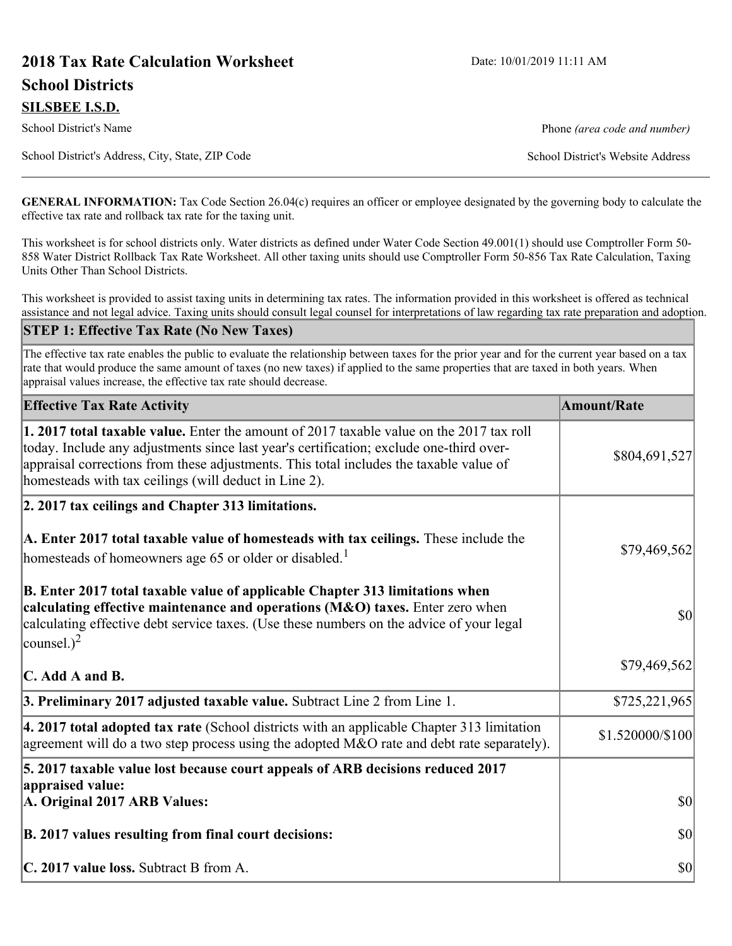# **2018 Tax Rate Calculation Worksheet** Date: 10/01/2019 11:11 AM **School Districts**

School District's Name **Phone** *(area code and number)* Phone *(area code and number)* 

School District's Address, City, State, ZIP Code School District's Website Address

**GENERAL INFORMATION:** Tax Code Section 26.04(c) requires an officer or employee designated by the governing body to calculate the effective tax rate and rollback tax rate for the taxing unit.

This worksheet is for school districts only. Water districts as defined under Water Code Section 49.001(1) should use Comptroller Form 50- 858 Water District Rollback Tax Rate Worksheet. All other taxing units should use Comptroller Form 50-856 Tax Rate Calculation, Taxing Units Other Than School Districts.

This worksheet is provided to assist taxing units in determining tax rates. The information provided in this worksheet is offered as technical assistance and not legal advice. Taxing units should consult legal counsel for interpretations of law regarding tax rate preparation and adoption.

#### **STEP 1: Effective Tax Rate (No New Taxes)**

The effective tax rate enables the public to evaluate the relationship between taxes for the prior year and for the current year based on a tax rate that would produce the same amount of taxes (no new taxes) if applied to the same properties that are taxed in both years. When appraisal values increase, the effective tax rate should decrease.

| <b>Effective Tax Rate Activity</b>                                                                                                                                                                                                                                                                                                     | <b>Amount/Rate</b> |
|----------------------------------------------------------------------------------------------------------------------------------------------------------------------------------------------------------------------------------------------------------------------------------------------------------------------------------------|--------------------|
| 1. 2017 total taxable value. Enter the amount of 2017 taxable value on the 2017 tax roll<br>today. Include any adjustments since last year's certification; exclude one-third over-<br>appraisal corrections from these adjustments. This total includes the taxable value of<br>homesteads with tax ceilings (will deduct in Line 2). | \$804,691,527      |
| 2. 2017 tax ceilings and Chapter 313 limitations.                                                                                                                                                                                                                                                                                      |                    |
| A. Enter 2017 total taxable value of homesteads with tax ceilings. These include the<br>homesteads of homeowners age 65 or older or disabled. <sup>1</sup>                                                                                                                                                                             | \$79,469,562       |
| B. Enter 2017 total taxable value of applicable Chapter 313 limitations when<br>calculating effective maintenance and operations (M&O) taxes. Enter zero when<br>calculating effective debt service taxes. (Use these numbers on the advice of your legal<br>counsel.) <sup>2</sup>                                                    | $ 10\rangle$       |
| $\mathbf C$ . Add A and B.                                                                                                                                                                                                                                                                                                             | \$79,469,562       |
| 3. Preliminary 2017 adjusted taxable value. Subtract Line 2 from Line 1.                                                                                                                                                                                                                                                               | \$725,221,965      |
| $\vert$ 4. 2017 total adopted tax rate (School districts with an applicable Chapter 313 limitation<br>agreement will do a two step process using the adopted M&O rate and debt rate separately).                                                                                                                                       | \$1.520000/\$100   |
| 5. 2017 taxable value lost because court appeals of ARB decisions reduced 2017                                                                                                                                                                                                                                                         |                    |
| appraised value:<br>A. Original 2017 ARB Values:                                                                                                                                                                                                                                                                                       | $ 10\rangle$       |
| B. 2017 values resulting from final court decisions:                                                                                                                                                                                                                                                                                   | $ 10\rangle$       |
| C. 2017 value loss. Subtract B from A.                                                                                                                                                                                                                                                                                                 | $ 10\rangle$       |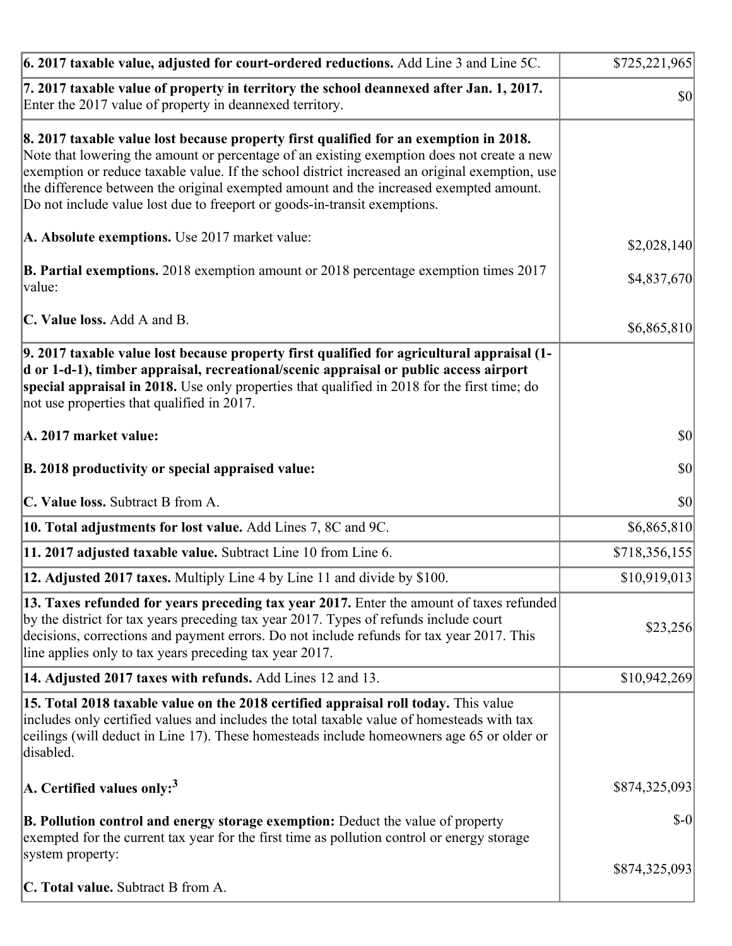| $\vert$ 6. 2017 taxable value, adjusted for court-ordered reductions. Add Line 3 and Line 5C.                                                                                                                                                                                                                                                                                                                                                                | \$725,221,965 |
|--------------------------------------------------------------------------------------------------------------------------------------------------------------------------------------------------------------------------------------------------------------------------------------------------------------------------------------------------------------------------------------------------------------------------------------------------------------|---------------|
| 7. 2017 taxable value of property in territory the school deannexed after Jan. 1, 2017.<br>Enter the 2017 value of property in deannexed territory.                                                                                                                                                                                                                                                                                                          | \$0           |
| 8. 2017 taxable value lost because property first qualified for an exemption in 2018.<br>Note that lowering the amount or percentage of an existing exemption does not create a new<br>exemption or reduce taxable value. If the school district increased an original exemption, use<br>the difference between the original exempted amount and the increased exempted amount.<br>Do not include value lost due to freeport or goods-in-transit exemptions. |               |
| A. Absolute exemptions. Use 2017 market value:                                                                                                                                                                                                                                                                                                                                                                                                               | \$2,028,140   |
| <b>B. Partial exemptions.</b> 2018 exemption amount or 2018 percentage exemption times 2017<br>$\vert$ value:                                                                                                                                                                                                                                                                                                                                                | \$4,837,670   |
| C. Value loss. Add A and B.                                                                                                                                                                                                                                                                                                                                                                                                                                  | \$6,865,810   |
| 9. 2017 taxable value lost because property first qualified for agricultural appraisal (1-<br>d or 1-d-1), timber appraisal, recreational/scenic appraisal or public access airport<br>special appraisal in 2018. Use only properties that qualified in 2018 for the first time; do<br>not use properties that qualified in 2017.                                                                                                                            |               |
| A. 2017 market value:                                                                                                                                                                                                                                                                                                                                                                                                                                        | $ 10\rangle$  |
| B. 2018 productivity or special appraised value:                                                                                                                                                                                                                                                                                                                                                                                                             | \$0           |
| C. Value loss. Subtract B from A.                                                                                                                                                                                                                                                                                                                                                                                                                            | \$0           |
| <b>10. Total adjustments for lost value.</b> Add Lines 7, 8C and 9C.                                                                                                                                                                                                                                                                                                                                                                                         | \$6,865,810   |
| 11. 2017 adjusted taxable value. Subtract Line 10 from Line 6.                                                                                                                                                                                                                                                                                                                                                                                               | \$718,356,155 |
| 12. Adjusted 2017 taxes. Multiply Line 4 by Line 11 and divide by \$100.                                                                                                                                                                                                                                                                                                                                                                                     | \$10,919,013  |
| [13. Taxes refunded for years preceding tax year 2017. Enter the amount of taxes refunded]<br>by the district for tax years preceding tax year 2017. Types of refunds include court<br>decisions, corrections and payment errors. Do not include refunds for tax year 2017. This<br>line applies only to tax years preceding tax year 2017.                                                                                                                  | \$23,256      |
| 14. Adjusted 2017 taxes with refunds. Add Lines 12 and 13.                                                                                                                                                                                                                                                                                                                                                                                                   | \$10,942,269  |
| 15. Total 2018 taxable value on the 2018 certified appraisal roll today. This value<br>includes only certified values and includes the total taxable value of homesteads with tax<br>ceilings (will deduct in Line 17). These homesteads include homeowners age 65 or older or<br>disabled.                                                                                                                                                                  |               |
| A. Certified values only: <sup>3</sup>                                                                                                                                                                                                                                                                                                                                                                                                                       | \$874,325,093 |
| <b>B. Pollution control and energy storage exemption:</b> Deduct the value of property<br>exempted for the current tax year for the first time as pollution control or energy storage<br>system property:                                                                                                                                                                                                                                                    | $$-0$         |
| <b>C. Total value.</b> Subtract B from A.                                                                                                                                                                                                                                                                                                                                                                                                                    | \$874,325,093 |
|                                                                                                                                                                                                                                                                                                                                                                                                                                                              |               |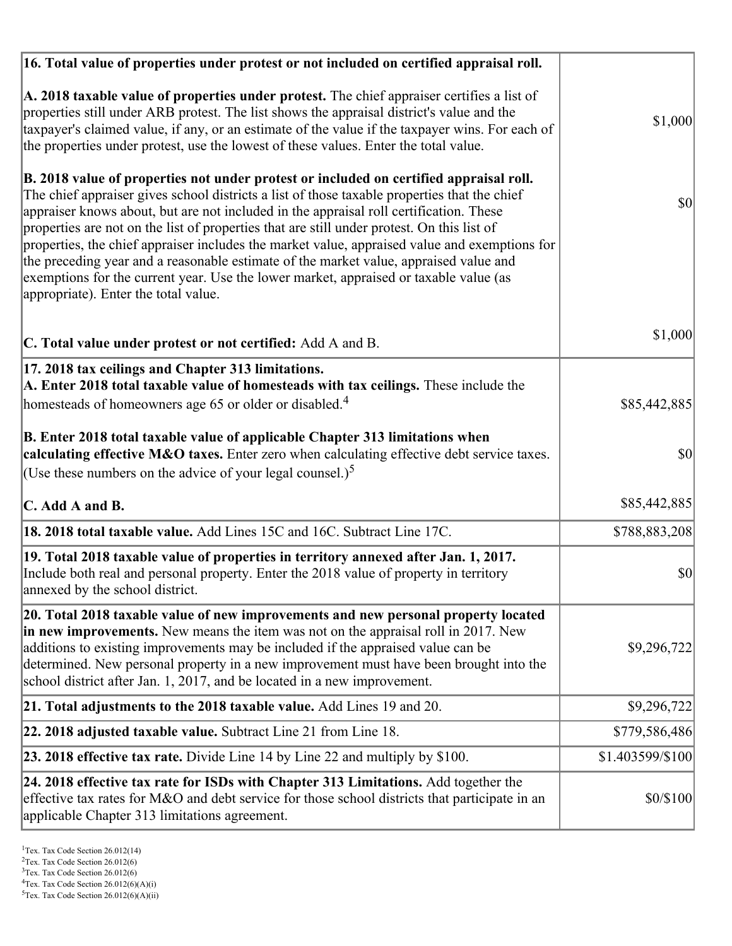| 16. Total value of properties under protest or not included on certified appraisal roll.                                                                                                                                                                                                                                                                                                                                                                                                                                                                                                                                                                                                                  |                  |
|-----------------------------------------------------------------------------------------------------------------------------------------------------------------------------------------------------------------------------------------------------------------------------------------------------------------------------------------------------------------------------------------------------------------------------------------------------------------------------------------------------------------------------------------------------------------------------------------------------------------------------------------------------------------------------------------------------------|------------------|
| A. 2018 taxable value of properties under protest. The chief appraiser certifies a list of<br>properties still under ARB protest. The list shows the appraisal district's value and the<br>taxpayer's claimed value, if any, or an estimate of the value if the taxpayer wins. For each of<br>the properties under protest, use the lowest of these values. Enter the total value.                                                                                                                                                                                                                                                                                                                        | \$1,000          |
| B. 2018 value of properties not under protest or included on certified appraisal roll.<br>The chief appraiser gives school districts a list of those taxable properties that the chief<br>appraiser knows about, but are not included in the appraisal roll certification. These<br>properties are not on the list of properties that are still under protest. On this list of<br>properties, the chief appraiser includes the market value, appraised value and exemptions for<br>the preceding year and a reasonable estimate of the market value, appraised value and<br>exemptions for the current year. Use the lower market, appraised or taxable value (as<br>appropriate). Enter the total value. | 30               |
| C. Total value under protest or not certified: Add A and B.                                                                                                                                                                                                                                                                                                                                                                                                                                                                                                                                                                                                                                               | \$1,000          |
| 17. 2018 tax ceilings and Chapter 313 limitations.<br>A. Enter 2018 total taxable value of homesteads with tax ceilings. These include the                                                                                                                                                                                                                                                                                                                                                                                                                                                                                                                                                                |                  |
| homesteads of homeowners age 65 or older or disabled. <sup>4</sup>                                                                                                                                                                                                                                                                                                                                                                                                                                                                                                                                                                                                                                        | \$85,442,885     |
| B. Enter 2018 total taxable value of applicable Chapter 313 limitations when<br>calculating effective M&O taxes. Enter zero when calculating effective debt service taxes.<br>(Use these numbers on the advice of your legal counsel.) <sup>5</sup>                                                                                                                                                                                                                                                                                                                                                                                                                                                       | \$0              |
| C. Add A and B.                                                                                                                                                                                                                                                                                                                                                                                                                                                                                                                                                                                                                                                                                           | \$85,442,885     |
| 18. 2018 total taxable value. Add Lines 15C and 16C. Subtract Line 17C.                                                                                                                                                                                                                                                                                                                                                                                                                                                                                                                                                                                                                                   | \$788,883,208    |
| 19. Total 2018 taxable value of properties in territory annexed after Jan. 1, 2017.<br>Include both real and personal property. Enter the 2018 value of property in territory<br>annexed by the school district.                                                                                                                                                                                                                                                                                                                                                                                                                                                                                          | \$0              |
| 20. Total 2018 taxable value of new improvements and new personal property located<br>in new improvements. New means the item was not on the appraisal roll in 2017. New<br>additions to existing improvements may be included if the appraised value can be<br>determined. New personal property in a new improvement must have been brought into the<br>school district after Jan. 1, 2017, and be located in a new improvement.                                                                                                                                                                                                                                                                        | \$9,296,722      |
| 21. Total adjustments to the 2018 taxable value. Add Lines 19 and 20.                                                                                                                                                                                                                                                                                                                                                                                                                                                                                                                                                                                                                                     | \$9,296,722      |
| <b>22. 2018 adjusted taxable value.</b> Subtract Line 21 from Line 18.                                                                                                                                                                                                                                                                                                                                                                                                                                                                                                                                                                                                                                    | \$779,586,486    |
| 23. 2018 effective tax rate. Divide Line 14 by Line 22 and multiply by \$100.                                                                                                                                                                                                                                                                                                                                                                                                                                                                                                                                                                                                                             | \$1.403599/\$100 |
| 24. 2018 effective tax rate for ISDs with Chapter 313 Limitations. Add together the<br>effective tax rates for M&O and debt service for those school districts that participate in an<br>applicable Chapter 313 limitations agreement.                                                                                                                                                                                                                                                                                                                                                                                                                                                                    | \$0/\$100        |

<sup>&</sup>lt;sup>1</sup>Tex. Tax Code Section 26.012(14)

 $2$ Tex. Tax Code Section 26.012(6)

<sup>&</sup>lt;sup>3</sup>Tex. Tax Code Section 26.012(6)

 ${}^{4}$ Tex. Tax Code Section 26.012(6)(A)(i)

 $5$ Tex. Tax Code Section 26.012(6)(A)(ii)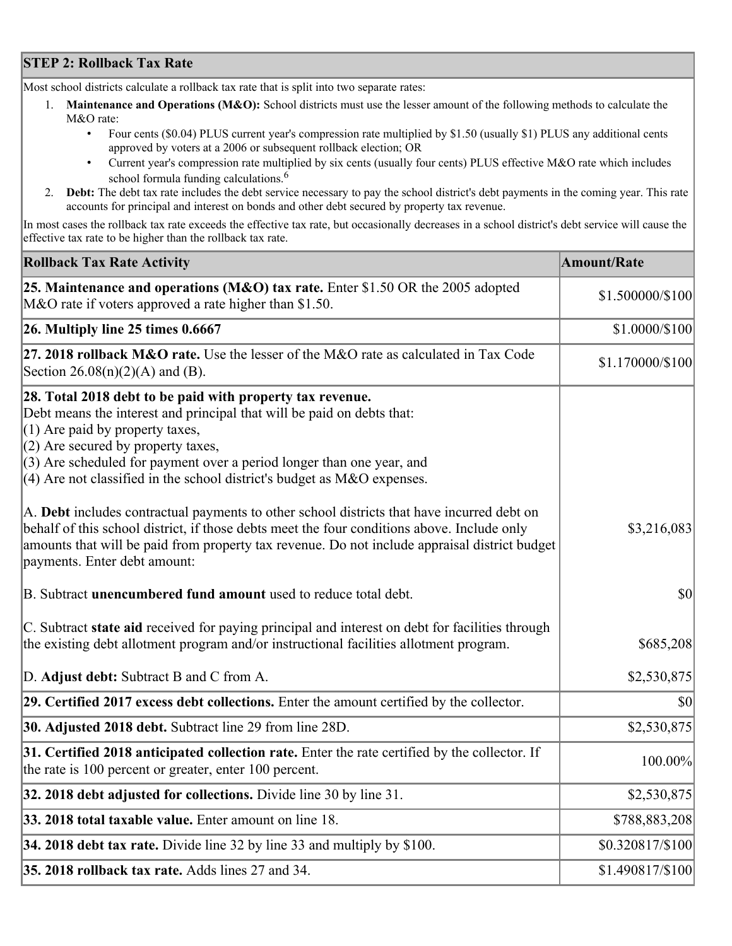## **STEP 2: Rollback Tax Rate**

Most school districts calculate a rollback tax rate that is split into two separate rates:

- 1. **Maintenance and Operations (M&O):** School districts must use the lesser amount of the following methods to calculate the M&O rate:
	- Four cents (\$0.04) PLUS current year's compression rate multiplied by \$1.50 (usually \$1) PLUS any additional cents approved by voters at a 2006 or subsequent rollback election; OR
	- Current year's compression rate multiplied by six cents (usually four cents) PLUS effective M&O rate which includes school formula funding calculations.<sup>6</sup>
- 2. **Debt:** The debt tax rate includes the debt service necessary to pay the school district's debt payments in the coming year. This rate accounts for principal and interest on bonds and other debt secured by property tax revenue.

In most cases the rollback tax rate exceeds the effective tax rate, but occasionally decreases in a school district's debt service will cause the effective tax rate to be higher than the rollback tax rate.

| <b>Rollback Tax Rate Activity</b>                                                                                                                                                                                                                                                                                                                                        | <b>Amount/Rate</b> |
|--------------------------------------------------------------------------------------------------------------------------------------------------------------------------------------------------------------------------------------------------------------------------------------------------------------------------------------------------------------------------|--------------------|
| 25. Maintenance and operations (M&O) tax rate. Enter \$1.50 OR the 2005 adopted<br>M&O rate if voters approved a rate higher than \$1.50.                                                                                                                                                                                                                                | \$1.500000/\$100   |
| $26.$ Multiply line 25 times $0.6667$                                                                                                                                                                                                                                                                                                                                    | \$1.0000/\$100     |
| 27. 2018 rollback $M&O$ rate. Use the lesser of the M $&O$ rate as calculated in Tax Code<br>Section $26.08(n)(2)(A)$ and (B).                                                                                                                                                                                                                                           | \$1.170000/\$100   |
| 28. Total 2018 debt to be paid with property tax revenue.<br>Debt means the interest and principal that will be paid on debts that:<br>$(1)$ Are paid by property taxes,<br>$(2)$ Are secured by property taxes,<br>$(3)$ Are scheduled for payment over a period longer than one year, and<br>$(4)$ Are not classified in the school district's budget as M&O expenses. |                    |
| A. Debt includes contractual payments to other school districts that have incurred debt on<br>behalf of this school district, if those debts meet the four conditions above. Include only<br>amounts that will be paid from property tax revenue. Do not include appraisal district budget<br>payments. Enter debt amount:                                               | \$3,216,083        |
| B. Subtract unencumbered fund amount used to reduce total debt.                                                                                                                                                                                                                                                                                                          | \$0                |
| C. Subtract state aid received for paying principal and interest on debt for facilities through<br>the existing debt allotment program and/or instructional facilities allotment program.                                                                                                                                                                                | \$685,208          |
| D. Adjust debt: Subtract B and C from A.                                                                                                                                                                                                                                                                                                                                 | \$2,530,875        |
| 29. Certified 2017 excess debt collections. Enter the amount certified by the collector.                                                                                                                                                                                                                                                                                 | $ 10\rangle$       |
| 30. Adjusted 2018 debt. Subtract line 29 from line 28D.                                                                                                                                                                                                                                                                                                                  | \$2,530,875        |
| 31. Certified 2018 anticipated collection rate. Enter the rate certified by the collector. If<br>the rate is 100 percent or greater, enter 100 percent.                                                                                                                                                                                                                  | 100.00%            |
| $32.2018$ debt adjusted for collections. Divide line 30 by line 31.                                                                                                                                                                                                                                                                                                      | \$2,530,875        |
| 33. 2018 total taxable value. Enter amount on line 18.                                                                                                                                                                                                                                                                                                                   | \$788,883,208      |
| 34. 2018 debt tax rate. Divide line 32 by line 33 and multiply by \$100.                                                                                                                                                                                                                                                                                                 | \$0.320817/\$100   |
| 35. 2018 rollback tax rate. Adds lines 27 and 34.                                                                                                                                                                                                                                                                                                                        | \$1.490817/\$100   |